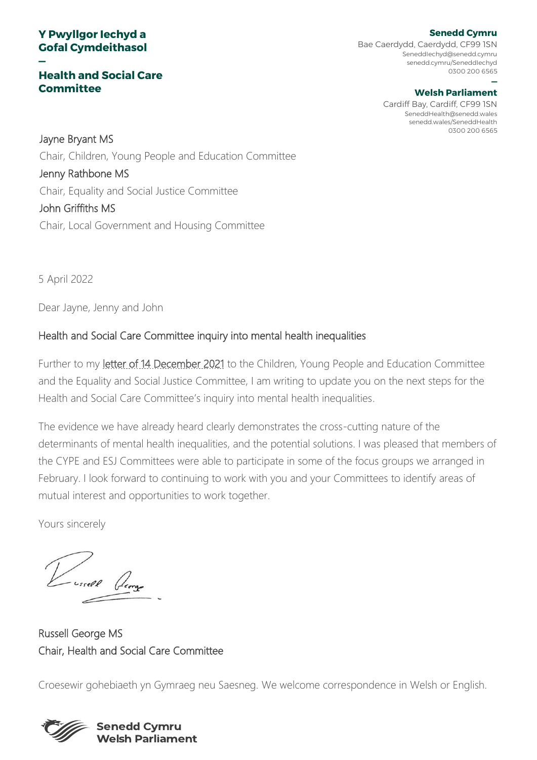#### **Y Pwyllgor Iechyd a Gofal Cymdeithasol**

**—**

#### **Health and Social Care Committee**

**Senedd Cymru** Bae Caerdydd, Caerdydd, CF99 1SN SeneddIechyd@senedd.cymru senedd.cymru/SeneddIechyd 0300 200 6565

#### **— Welsh Parliament**

Cardiff Bay, Cardiff, CF99 1SN SeneddHealth@senedd.wales senedd.wales/SeneddHealth 0300 200 6565

Jayne Bryant MS Chair, Children, Young People and Education Committee Jenny Rathbone MS Chair, Equality and Social Justice Committee John Griffiths MS Chair, Local Government and Housing Committee

5 April 2022

Dear Jayne, Jenny and John

#### Health and Social Care Committee inquiry into mental health inequalities

Further to my [letter of 14 December 2021](https://business.senedd.wales/documents/s121187/Letter%20from%20the%20Chair%20to%20the%20Children%20Young%20People%20and%20Education%20Committee%20and%20the%20Equality%20and%20Soc.pdf) to the Children, Young People and Education Committee and the Equality and Social Justice Committee, I am writing to update you on the next steps for the Health and Social Care Committee's inquiry into mental health inequalities.

The evidence we have already heard clearly demonstrates the cross-cutting nature of the determinants of mental health inequalities, and the potential solutions. I was pleased that members of the CYPE and ESJ Committees were able to participate in some of the focus groups we arranged in February. I look forward to continuing to work with you and your Committees to identify areas of mutual interest and opportunities to work together.

Yours sincerely

(ssell George

Russell George MS Chair, Health and Social Care Committee

Croesewir gohebiaeth yn Gymraeg neu Saesneg. We welcome correspondence in Welsh or English.



**Senedd Cymru Welsh Parliament**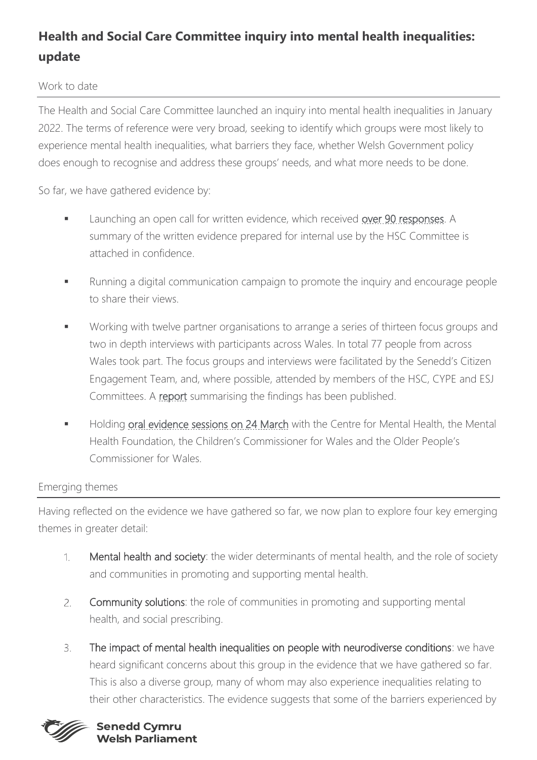# **Health and Social Care Committee inquiry into mental health inequalities: update**

#### Work to date

The Health and Social Care Committee launched an inquiry into mental health inequalities in January 2022. The terms of reference were very broad, seeking to identify which groups were most likely to experience mental health inequalities, what barriers they face, whether Welsh Government policy does enough to recognise and address these groups' needs, and what more needs to be done.

So far, we have gathered evidence by:

- Launching an open call for written evidence, which received [over 90 responses.](https://business.senedd.wales/mgConsultationDisplay.aspx?id=444&RPID=1531512097&cp=yes) A summary of the written evidence prepared for internal use by the HSC Committee is attached in confidence.
- Running a digital communication campaign to promote the inquiry and encourage people to share their views.
- Working with twelve partner organisations to arrange a series of thirteen focus groups and two in depth interviews with participants across Wales. In total 77 people from across Wales took part. The focus groups and interviews were facilitated by the Senedd's Citizen Engagement Team, and, where possible, attended by members of the HSC, CYPE and ESJ Committees. A [report](https://business.senedd.wales/documents/s124209/Citizen%20Engagement%20Team%20Report%20Mental%20health%20inequalities%20Engagement%20findings%20-%205%20March%202022.pdf) summarising the findings has been published.
- Holding [oral evidence sessions on 24 March](https://business.senedd.wales/ieListDocuments.aspx?CId=737&MID=12644) with the Centre for Mental Health, the Mental Health Foundation, the Children's Commissioner for Wales and the Older People's Commissioner for Wales.

### Emerging themes

Having reflected on the evidence we have gathered so far, we now plan to explore four key emerging themes in greater detail:

- Mental health and society: the wider determinants of mental health, and the role of society  $\mathcal{L}$ and communities in promoting and supporting mental health.
- Community solutions: the role of communities in promoting and supporting mental  $2.$ health, and social prescribing.
- $\overline{3}$ The impact of mental health inequalities on people with neurodiverse conditions: we have heard significant concerns about this group in the evidence that we have gathered so far. This is also a diverse group, many of whom may also experience inequalities relating to their other characteristics. The evidence suggests that some of the barriers experienced by



#### **Senedd Cymru Welsh Parliament**